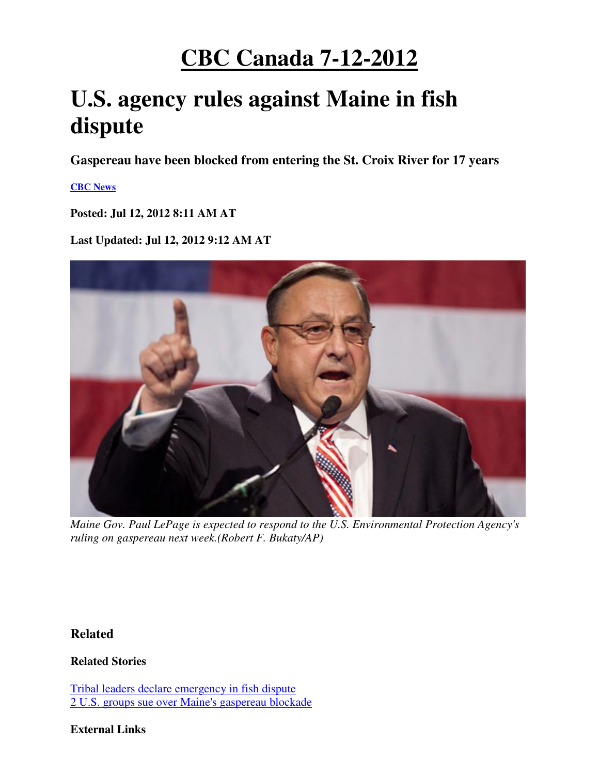# **CBC Canada 7-12-2012**

# **U.S. agency rules against Maine in fish dispute**

**Gaspereau have been blocked from entering the St. Croix River for 17 years** 

### **CBC News**

**Posted: Jul 12, 2012 8:11 AM AT** 

**Last Updated: Jul 12, 2012 9:12 AM AT** 



*Maine Gov. Paul LePage is expected to respond to the U.S. Environmental Protection Agency's ruling on gaspereau next week.(Robert F. Bukaty/AP)*

## **Related**

**Related Stories** 

Tribal leaders declare emergency in fish dispute 2 U.S. groups sue over Maine's gaspereau blockade

### **External Links**